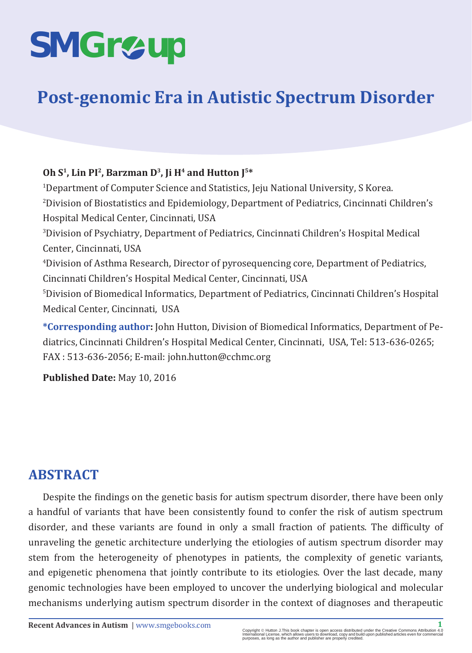# **SMGr&up**

## **Post-genomic Era in Autistic Spectrum Disorder**

#### **Oh S1, Lin PI2, Barzman D3, Ji H4 and Hutton J5\***

1 Department of Computer Science and Statistics, Jeju National University, S Korea. 2 Division of Biostatistics and Epidemiology, Department of Pediatrics, Cincinnati Children's Hospital Medical Center, Cincinnati, USA 3 Division of Psychiatry, Department of Pediatrics, Cincinnati Children's Hospital Medical Center, Cincinnati, USA 4 Division of Asthma Research, Director of pyrosequencing core, Department of Pediatrics, Cincinnati Children's Hospital Medical Center, Cincinnati, USA 5 Division of Biomedical Informatics, Department of Pediatrics, Cincinnati Children's Hospital Medical Center, Cincinnati, USA

**\*Corresponding author:** John Hutton, Division of Biomedical Informatics, Department of Pediatrics, Cincinnati Children's Hospital Medical Center, Cincinnati, USA, Tel: 513-636-0265; FAX : 513-636-2056; E-mail: john.hutton@cchmc.org

**Published Date:** May 10, 2016

## **ABSTRACT**

Despite the findings on the genetic basis for autism spectrum disorder, there have been only a handful of variants that have been consistently found to confer the risk of autism spectrum disorder, and these variants are found in only a small fraction of patients. The difficulty of unraveling the genetic architecture underlying the etiologies of autism spectrum disorder may stem from the heterogeneity of phenotypes in patients, the complexity of genetic variants, and epigenetic phenomena that jointly contribute to its etiologies. Over the last decade, many genomic technologies have been employed to uncover the underlying biological and molecular mechanisms underlying autism spectrum disorder in the context of diagnoses and therapeutic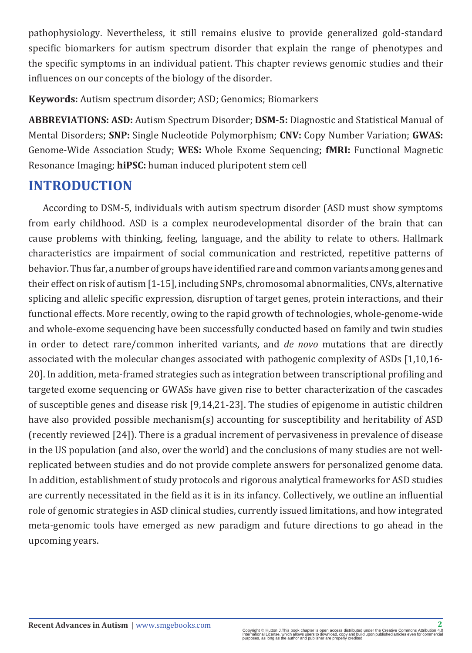pathophysiology. Nevertheless, it still remains elusive to provide generalized gold-standard specific biomarkers for autism spectrum disorder that explain the range of phenotypes and the specific symptoms in an individual patient. This chapter reviews genomic studies and their influences on our concepts of the biology of the disorder.

**Keywords:** Autism spectrum disorder; ASD; Genomics; Biomarkers

**ABBREVIATIONS: ASD:** Autism Spectrum Disorder; **DSM-5:** Diagnostic and Statistical Manual of Mental Disorders; **SNP:** Single Nucleotide Polymorphism; **CNV:** Copy Number Variation; **GWAS:** Genome-Wide Association Study; **WES:** Whole Exome Sequencing; **fMRI:** Functional Magnetic Resonance Imaging; **hiPSC:** human induced pluripotent stem cell

## **INTRODUCTION**

According to DSM-5, individuals with autism spectrum disorder (ASD must show symptoms from early childhood. ASD is a complex neurodevelopmental disorder of the brain that can cause problems with thinking, feeling, language, and the ability to relate to others. Hallmark characteristics are impairment of social communication and restricted, repetitive patterns of behavior. Thus far, a number of groups have identified rare and common variants among genes and their effect on risk of autism [1-15], including SNPs, chromosomal abnormalities, CNVs, alternative splicing and allelic specific expression, disruption of target genes, protein interactions, and their functional effects. More recently, owing to the rapid growth of technologies, whole-genome-wide and whole-exome sequencing have been successfully conducted based on family and twin studies in order to detect rare/common inherited variants, and *de novo* mutations that are directly associated with the molecular changes associated with pathogenic complexity of ASDs [1,10,16- 20]. In addition, meta-framed strategies such as integration between transcriptional profiling and targeted exome sequencing or GWASs have given rise to better characterization of the cascades of susceptible genes and disease risk [9,14,21-23]. The studies of epigenome in autistic children have also provided possible mechanism(s) accounting for susceptibility and heritability of ASD (recently reviewed [24]). There is a gradual increment of pervasiveness in prevalence of disease in the US population (and also, over the world) and the conclusions of many studies are not wellreplicated between studies and do not provide complete answers for personalized genome data. In addition, establishment of study protocols and rigorous analytical frameworks for ASD studies are currently necessitated in the field as it is in its infancy. Collectively, we outline an influential role of genomic strategies in ASD clinical studies, currently issued limitations, and how integrated meta-genomic tools have emerged as new paradigm and future directions to go ahead in the upcoming years.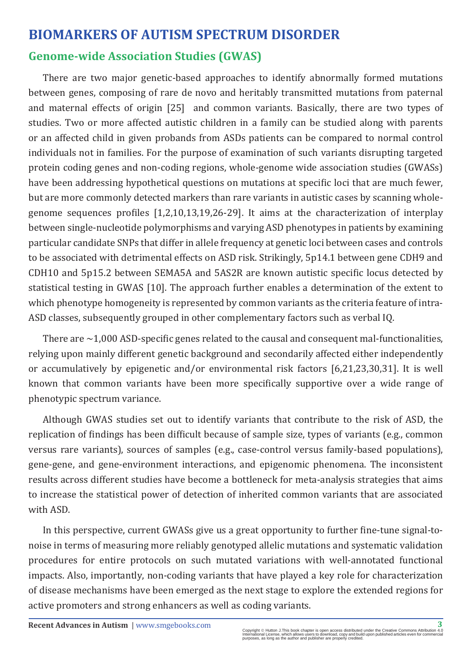## **BIOMARKERS OF AUTISM SPECTRUM DISORDER Genome-wide Association Studies (GWAS)**

There are two major genetic-based approaches to identify abnormally formed mutations between genes, composing of rare de novo and heritably transmitted mutations from paternal and maternal effects of origin [25] and common variants. Basically, there are two types of studies. Two or more affected autistic children in a family can be studied along with parents or an affected child in given probands from ASDs patients can be compared to normal control individuals not in families. For the purpose of examination of such variants disrupting targeted protein coding genes and non-coding regions, whole-genome wide association studies (GWASs) have been addressing hypothetical questions on mutations at specific loci that are much fewer, but are more commonly detected markers than rare variants in autistic cases by scanning wholegenome sequences profiles [1,2,10,13,19,26-29]. It aims at the characterization of interplay between single-nucleotide polymorphisms and varying ASD phenotypes in patients by examining particular candidate SNPs that differ in allele frequency at genetic loci between cases and controls to be associated with detrimental effects on ASD risk. Strikingly, 5p14.1 between gene CDH9 and CDH10 and 5p15.2 between SEMA5A and 5AS2R are known autistic specific locus detected by statistical testing in GWAS [10]. The approach further enables a determination of the extent to which phenotype homogeneity is represented by common variants as the criteria feature of intra-ASD classes, subsequently grouped in other complementary factors such as verbal IQ.

There are  $\sim$  1,000 ASD-specific genes related to the causal and consequent mal-functionalities, relying upon mainly different genetic background and secondarily affected either independently or accumulatively by epigenetic and/or environmental risk factors [6,21,23,30,31]. It is well known that common variants have been more specifically supportive over a wide range of phenotypic spectrum variance.

Although GWAS studies set out to identify variants that contribute to the risk of ASD, the replication of findings has been difficult because of sample size, types of variants (e.g., common versus rare variants), sources of samples (e.g., case-control versus family-based populations), gene-gene, and gene-environment interactions, and epigenomic phenomena. The inconsistent results across different studies have become a bottleneck for meta-analysis strategies that aims to increase the statistical power of detection of inherited common variants that are associated with ASD.

In this perspective, current GWASs give us a great opportunity to further fine-tune signal-tonoise in terms of measuring more reliably genotyped allelic mutations and systematic validation procedures for entire protocols on such mutated variations with well-annotated functional impacts. Also, importantly, non-coding variants that have played a key role for characterization of disease mechanisms have been emerged as the next stage to explore the extended regions for active promoters and strong enhancers as well as coding variants.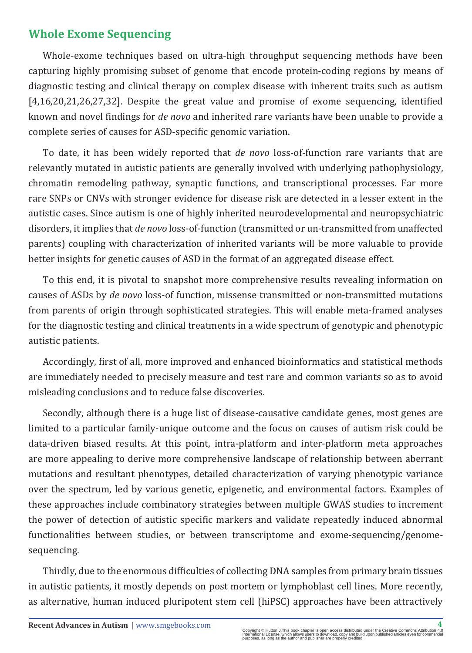## **Whole Exome Sequencing**

Whole-exome techniques based on ultra-high throughput sequencing methods have been capturing highly promising subset of genome that encode protein-coding regions by means of diagnostic testing and clinical therapy on complex disease with inherent traits such as autism [4,16,20,21,26,27,32]. Despite the great value and promise of exome sequencing, identified known and novel findings for *de novo* and inherited rare variants have been unable to provide a complete series of causes for ASD-specific genomic variation.

To date, it has been widely reported that *de novo* loss-of-function rare variants that are relevantly mutated in autistic patients are generally involved with underlying pathophysiology, chromatin remodeling pathway, synaptic functions, and transcriptional processes. Far more rare SNPs or CNVs with stronger evidence for disease risk are detected in a lesser extent in the autistic cases. Since autism is one of highly inherited neurodevelopmental and neuropsychiatric disorders, it implies that *de novo* loss-of-function (transmitted or un-transmitted from unaffected parents) coupling with characterization of inherited variants will be more valuable to provide better insights for genetic causes of ASD in the format of an aggregated disease effect.

To this end, it is pivotal to snapshot more comprehensive results revealing information on causes of ASDs by *de novo* loss-of function, missense transmitted or non-transmitted mutations from parents of origin through sophisticated strategies. This will enable meta-framed analyses for the diagnostic testing and clinical treatments in a wide spectrum of genotypic and phenotypic autistic patients.

Accordingly, first of all, more improved and enhanced bioinformatics and statistical methods are immediately needed to precisely measure and test rare and common variants so as to avoid misleading conclusions and to reduce false discoveries.

Secondly, although there is a huge list of disease-causative candidate genes, most genes are limited to a particular family-unique outcome and the focus on causes of autism risk could be data-driven biased results. At this point, intra-platform and inter-platform meta approaches are more appealing to derive more comprehensive landscape of relationship between aberrant mutations and resultant phenotypes, detailed characterization of varying phenotypic variance over the spectrum, led by various genetic, epigenetic, and environmental factors. Examples of these approaches include combinatory strategies between multiple GWAS studies to increment the power of detection of autistic specific markers and validate repeatedly induced abnormal functionalities between studies, or between transcriptome and exome-sequencing/genomesequencing.

Thirdly, due to the enormous difficulties of collecting DNA samples from primary brain tissues in autistic patients, it mostly depends on post mortem or lymphoblast cell lines. More recently, as alternative, human induced pluripotent stem cell (hiPSC) approaches have been attractively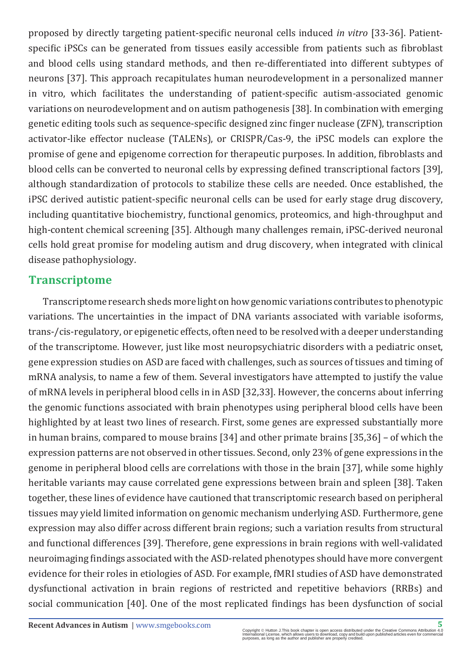proposed by directly targeting patient-specific neuronal cells induced *in vitro* [33-36]. Patientspecific iPSCs can be generated from tissues easily accessible from patients such as fibroblast and blood cells using standard methods, and then re-differentiated into different subtypes of neurons [37]. This approach recapitulates human neurodevelopment in a personalized manner in vitro, which facilitates the understanding of patient-specific autism-associated genomic variations on neurodevelopment and on autism pathogenesis [38]. In combination with emerging genetic editing tools such as sequence-specific designed zinc finger nuclease (ZFN), transcription activator-like effector nuclease (TALENs), or CRISPR/Cas-9, the iPSC models can explore the promise of gene and epigenome correction for therapeutic purposes. In addition, fibroblasts and blood cells can be converted to neuronal cells by expressing defined transcriptional factors [39], although standardization of protocols to stabilize these cells are needed. Once established, the iPSC derived autistic patient-specific neuronal cells can be used for early stage drug discovery, including quantitative biochemistry, functional genomics, proteomics, and high-throughput and high-content chemical screening [35]. Although many challenges remain, iPSC-derived neuronal cells hold great promise for modeling autism and drug discovery, when integrated with clinical disease pathophysiology.

### **Transcriptome**

Transcriptome research sheds more light on how genomic variations contributes to phenotypic variations. The uncertainties in the impact of DNA variants associated with variable isoforms, trans-/cis-regulatory, or epigenetic effects, often need to be resolved with a deeper understanding of the transcriptome. However, just like most neuropsychiatric disorders with a pediatric onset, gene expression studies on ASD are faced with challenges, such as sources of tissues and timing of mRNA analysis, to name a few of them. Several investigators have attempted to justify the value of mRNA levels in peripheral blood cells in in ASD [32,33]. However, the concerns about inferring the genomic functions associated with brain phenotypes using peripheral blood cells have been highlighted by at least two lines of research. First, some genes are expressed substantially more in human brains, compared to mouse brains [34] and other primate brains [35,36] – of which the expression patterns are not observed in other tissues. Second, only 23% of gene expressions in the genome in peripheral blood cells are correlations with those in the brain [37], while some highly heritable variants may cause correlated gene expressions between brain and spleen [38]. Taken together, these lines of evidence have cautioned that transcriptomic research based on peripheral tissues may yield limited information on genomic mechanism underlying ASD. Furthermore, gene expression may also differ across different brain regions; such a variation results from structural and functional differences [39]. Therefore, gene expressions in brain regions with well-validated neuroimaging findings associated with the ASD-related phenotypes should have more convergent evidence for their roles in etiologies of ASD. For example, fMRI studies of ASD have demonstrated dysfunctional activation in brain regions of restricted and repetitive behaviors (RRBs) and social communication [40]. One of the most replicated findings has been dysfunction of social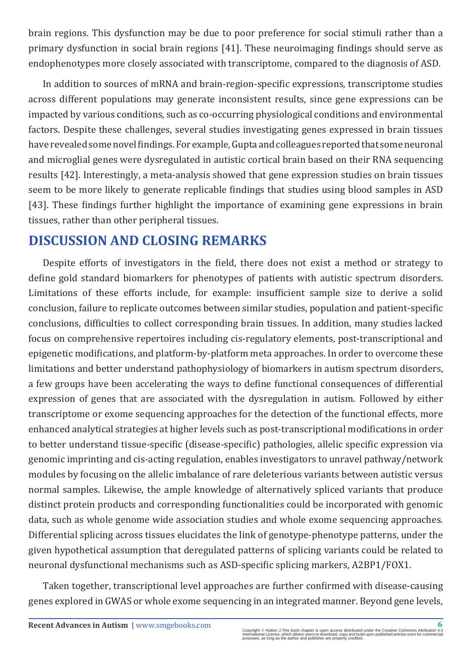brain regions. This dysfunction may be due to poor preference for social stimuli rather than a primary dysfunction in social brain regions [41]. These neuroimaging findings should serve as endophenotypes more closely associated with transcriptome, compared to the diagnosis of ASD.

In addition to sources of mRNA and brain-region-specific expressions, transcriptome studies across different populations may generate inconsistent results, since gene expressions can be impacted by various conditions, such as co-occurring physiological conditions and environmental factors. Despite these challenges, several studies investigating genes expressed in brain tissues have revealed some novel findings. For example, Gupta and colleagues reported that some neuronal and microglial genes were dysregulated in autistic cortical brain based on their RNA sequencing results [42]. Interestingly, a meta-analysis showed that gene expression studies on brain tissues seem to be more likely to generate replicable findings that studies using blood samples in ASD [43]. These findings further highlight the importance of examining gene expressions in brain tissues, rather than other peripheral tissues.

## **DISCUSSION AND CLOSING REMARKS**

Despite efforts of investigators in the field, there does not exist a method or strategy to define gold standard biomarkers for phenotypes of patients with autistic spectrum disorders. Limitations of these efforts include, for example: insufficient sample size to derive a solid conclusion, failure to replicate outcomes between similar studies, population and patient-specific conclusions, difficulties to collect corresponding brain tissues. In addition, many studies lacked focus on comprehensive repertoires including cis-regulatory elements, post-transcriptional and epigenetic modifications, and platform-by-platform meta approaches. In order to overcome these limitations and better understand pathophysiology of biomarkers in autism spectrum disorders, a few groups have been accelerating the ways to define functional consequences of differential expression of genes that are associated with the dysregulation in autism. Followed by either transcriptome or exome sequencing approaches for the detection of the functional effects, more enhanced analytical strategies at higher levels such as post-transcriptional modifications in order to better understand tissue-specific (disease-specific) pathologies, allelic specific expression via genomic imprinting and cis-acting regulation, enables investigators to unravel pathway/network modules by focusing on the allelic imbalance of rare deleterious variants between autistic versus normal samples. Likewise, the ample knowledge of alternatively spliced variants that produce distinct protein products and corresponding functionalities could be incorporated with genomic data, such as whole genome wide association studies and whole exome sequencing approaches. Differential splicing across tissues elucidates the link of genotype-phenotype patterns, under the given hypothetical assumption that deregulated patterns of splicing variants could be related to neuronal dysfunctional mechanisms such as ASD-specific splicing markers, A2BP1/FOX1.

Taken together, transcriptional level approaches are further confirmed with disease-causing genes explored in GWAS or whole exome sequencing in an integrated manner. Beyond gene levels,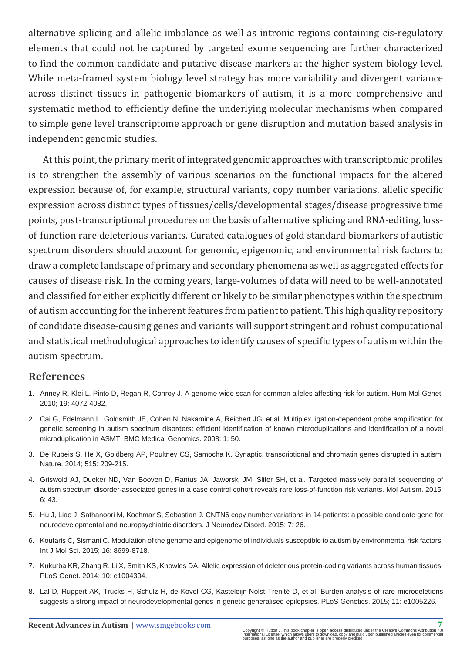alternative splicing and allelic imbalance as well as intronic regions containing cis-regulatory elements that could not be captured by targeted exome sequencing are further characterized to find the common candidate and putative disease markers at the higher system biology level. While meta-framed system biology level strategy has more variability and divergent variance across distinct tissues in pathogenic biomarkers of autism, it is a more comprehensive and systematic method to efficiently define the underlying molecular mechanisms when compared to simple gene level transcriptome approach or gene disruption and mutation based analysis in independent genomic studies.

At this point, the primary merit of integrated genomic approaches with transcriptomic profiles is to strengthen the assembly of various scenarios on the functional impacts for the altered expression because of, for example, structural variants, copy number variations, allelic specific expression across distinct types of tissues/cells/developmental stages/disease progressive time points, post-transcriptional procedures on the basis of alternative splicing and RNA-editing, lossof-function rare deleterious variants. Curated catalogues of gold standard biomarkers of autistic spectrum disorders should account for genomic, epigenomic, and environmental risk factors to draw a complete landscape of primary and secondary phenomena as well as aggregated effects for causes of disease risk. In the coming years, large-volumes of data will need to be well-annotated and classified for either explicitly different or likely to be similar phenotypes within the spectrum of autism accounting for the inherent features from patient to patient. This high quality repository of candidate disease-causing genes and variants will support stringent and robust computational and statistical methodological approaches to identify causes of specific types of autism within the autism spectrum.

#### **References**

- 1. [Anney R, Klei L, Pinto D, Regan R, Conroy J. A genome-wide scan for common alleles affecting risk for autism. Hum Mol Genet.](http://www.ncbi.nlm.nih.gov/pubmed/20663923)  [2010; 19: 4072-4082.](http://www.ncbi.nlm.nih.gov/pubmed/20663923)
- 2. [Cai G, Edelmann L, Goldsmith JE, Cohen N, Nakamine A, Reichert JG, et al. Multiplex ligation-dependent probe amplification for](http://www.ncbi.nlm.nih.gov/pubmed/18925931)  [genetic screening in autism spectrum disorders: efficient identification of known microduplications and identification of a novel](http://www.ncbi.nlm.nih.gov/pubmed/18925931)  [microduplication in ASMT. BMC Medical Genomics. 2008; 1: 50.](http://www.ncbi.nlm.nih.gov/pubmed/18925931)
- 3. [De Rubeis S, He X, Goldberg AP, Poultney CS, Samocha K. Synaptic, transcriptional and chromatin genes disrupted in autism.](http://www.ncbi.nlm.nih.gov/pubmed/25363760)  [Nature. 2014; 515: 209-215.](http://www.ncbi.nlm.nih.gov/pubmed/25363760)
- 4. [Griswold AJ, Dueker ND, Van Booven D, Rantus JA, Jaworski JM, Slifer SH, et al. Targeted massively parallel sequencing of](http://www.ncbi.nlm.nih.gov/pubmed/26185613)  [autism spectrum disorder-associated genes in a case control cohort reveals rare loss-of-function risk variants. Mol Autism. 2015;](http://www.ncbi.nlm.nih.gov/pubmed/26185613)   $6: 43$
- 5. [Hu J, Liao J, Sathanoori M, Kochmar S, Sebastian J. CNTN6 copy number variations in 14 patients: a possible candidate gene for](http://www.ncbi.nlm.nih.gov/pubmed/26257835)  [neurodevelopmental and neuropsychiatric disorders. J Neurodev Disord. 2015; 7: 26.](http://www.ncbi.nlm.nih.gov/pubmed/26257835)
- 6. [Koufaris C, Sismani C. Modulation of the genome and epigenome of individuals susceptible to autism by environmental risk factors.](http://www.ncbi.nlm.nih.gov/pubmed/25903146)  [Int J Mol Sci. 2015; 16: 8699-8718.](http://www.ncbi.nlm.nih.gov/pubmed/25903146)
- 7. [Kukurba KR, Zhang R, Li X, Smith KS, Knowles DA. Allelic expression of deleterious protein-coding variants across human tissues.](http://www.ncbi.nlm.nih.gov/pubmed/24786518)  [PLoS Genet. 2014; 10: e1004304.](http://www.ncbi.nlm.nih.gov/pubmed/24786518)
- 8. [Lal D, Ruppert AK, Trucks H, Schulz H, de Kovel CG, Kasteleijn-Nolst Trenité D, et al. Burden analysis of rare microdeletions](http://www.ncbi.nlm.nih.gov/pubmed/25950944)  [suggests a strong impact of neurodevelopmental genes in genetic generalised epilepsies. PLoS Genetics. 2015; 11: e1005226.](http://www.ncbi.nlm.nih.gov/pubmed/25950944)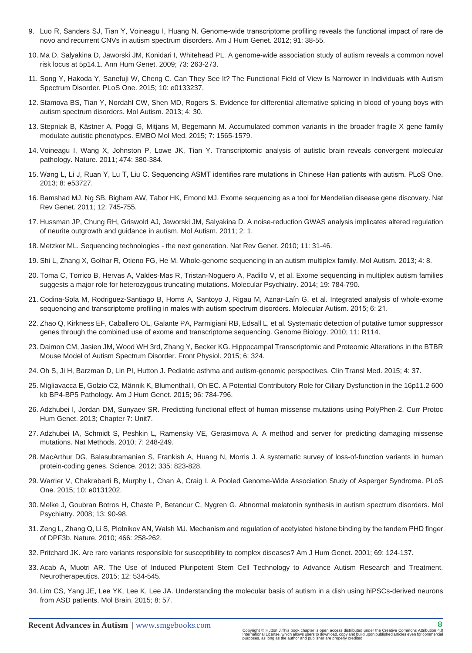- 9. [Luo R, Sanders SJ, Tian Y, Voineagu I, Huang N. Genome-wide transcriptome profiling reveals the functional impact of rare de](http://www.ncbi.nlm.nih.gov/pubmed/22726847)  [novo and recurrent CNVs in autism spectrum disorders. Am J Hum Genet. 2012; 91: 38-55.](http://www.ncbi.nlm.nih.gov/pubmed/22726847)
- 10. [Ma D, Salyakina D, Jaworski JM, Konidari I, Whitehead PL. A genome-wide association study of autism reveals a common novel](http://www.ncbi.nlm.nih.gov/pubmed/19456320)  [risk locus at 5p14.1. Ann Hum Genet. 2009; 73: 263-273.](http://www.ncbi.nlm.nih.gov/pubmed/19456320)
- 11. [Song Y, Hakoda Y, Sanefuji W, Cheng C. Can They See It? The Functional Field of View Is Narrower in Individuals with Autism](http://www.ncbi.nlm.nih.gov/pubmed/26204121)  [Spectrum Disorder. PLoS One. 2015; 10: e0133237.](http://www.ncbi.nlm.nih.gov/pubmed/26204121)
- 12. [Stamova BS, Tian Y, Nordahl CW, Shen MD, Rogers S. Evidence for differential alternative splicing in blood of young boys with](http://www.ncbi.nlm.nih.gov/pubmed/24007566)  [autism spectrum disorders. Mol Autism. 2013; 4: 30.](http://www.ncbi.nlm.nih.gov/pubmed/24007566)
- 13. [Stepniak B, Kästner A, Poggi G, Mitjans M, Begemann M. Accumulated common variants in the broader fragile X gene family](http://www.ncbi.nlm.nih.gov/pubmed/26612855)  [modulate autistic phenotypes. EMBO Mol Med. 2015; 7: 1565-1579.](http://www.ncbi.nlm.nih.gov/pubmed/26612855)
- 14. [Voineagu I, Wang X, Johnston P, Lowe JK, Tian Y. Transcriptomic analysis of autistic brain reveals convergent molecular](http://www.ncbi.nlm.nih.gov/pubmed/21614001)  [pathology. Nature. 2011; 474: 380-384.](http://www.ncbi.nlm.nih.gov/pubmed/21614001)
- 15. [Wang L, Li J, Ruan Y, Lu T, Liu C. Sequencing ASMT identifies rare mutations in Chinese Han patients with autism. PLoS One.](http://www.ncbi.nlm.nih.gov/pubmed/23349736)  [2013; 8: e53727.](http://www.ncbi.nlm.nih.gov/pubmed/23349736)
- 16. [Bamshad MJ, Ng SB, Bigham AW, Tabor HK, Emond MJ. Exome sequencing as a tool for Mendelian disease gene discovery. Nat](http://www.ncbi.nlm.nih.gov/pubmed/21946919)  [Rev Genet. 2011; 12: 745-755.](http://www.ncbi.nlm.nih.gov/pubmed/21946919)
- 17. [Hussman JP, Chung RH, Griswold AJ, Jaworski JM, Salyakina D. A noise-reduction GWAS analysis implicates altered regulation](http://www.ncbi.nlm.nih.gov/pubmed/21247446)  [of neurite outgrowth and guidance in autism. Mol Autism. 2011; 2: 1.](http://www.ncbi.nlm.nih.gov/pubmed/21247446)
- 18. [Metzker ML. Sequencing technologies the next generation. Nat Rev Genet. 2010; 11: 31-46.](http://www.ncbi.nlm.nih.gov/pubmed/19997069)
- 19. [Shi L, Zhang X, Golhar R, Otieno FG, He M. Whole-genome sequencing in an autism multiplex family. Mol Autism. 2013; 4: 8.](http://www.ncbi.nlm.nih.gov/pubmed/23597238)
- 20. Toma C, Torrico B, Hervas A, Valdes-Mas R, Tristan-Noguero A, Padillo V, et al. Exome sequencing in multiplex autism families suggests a major role for heterozygous truncating mutations. Molecular Psychiatry. 2014; 19: 784-790.
- 21. [Codina-Sola M, Rodriguez-Santiago B, Homs A, Santoyo J, Rigau M, Aznar-Laín G, et al. Integrated analysis of whole-exome](https://molecularautism.biomedcentral.com/articles/10.1186/s13229-015-0017-0)  [sequencing and transcriptome profiling in males with autism spectrum disorders. Molecular Autism. 2015; 6: 21.](https://molecularautism.biomedcentral.com/articles/10.1186/s13229-015-0017-0)
- 22. [Zhao Q, Kirkness EF, Caballero OL, Galante PA, Parmigiani RB, Edsall L, et al. Systematic detection of putative tumor suppressor](http://www.ncbi.nlm.nih.gov/pubmed/21108794)  [genes through the combined use of exome and transcriptome sequencing. Genome Biology. 2010; 11: R114.](http://www.ncbi.nlm.nih.gov/pubmed/21108794)
- 23. [Daimon CM, Jasien JM, Wood WH 3rd, Zhang Y, Becker KG. Hippocampal Transcriptomic and Proteomic Alterations in the BTBR](http://www.ncbi.nlm.nih.gov/pubmed/26635614)  [Mouse Model of Autism Spectrum Disorder. Front Physiol. 2015; 6: 324.](http://www.ncbi.nlm.nih.gov/pubmed/26635614)
- 24. [Oh S, Ji H, Barzman D, Lin PI, Hutton J. Pediatric asthma and autism-genomic perspectives. Clin Transl Med. 2015; 4: 37.](http://www.ncbi.nlm.nih.gov/pubmed/26668064)
- 25. [Migliavacca E, Golzio C2, Männik K, Blumenthal I, Oh EC. A Potential Contributory Role for Ciliary Dysfunction in the 16p11.2 600](http://www.ncbi.nlm.nih.gov/pubmed/25937446)  [kb BP4-BP5 Pathology. Am J Hum Genet. 2015; 96: 784-796.](http://www.ncbi.nlm.nih.gov/pubmed/25937446)
- 26. [Adzhubei I, Jordan DM, Sunyaev SR. Predicting functional effect of human missense mutations using PolyPhen-2. Curr Protoc](http://www.ncbi.nlm.nih.gov/pubmed/23315928)  [Hum Genet. 2013; Chapter 7: Unit7.](http://www.ncbi.nlm.nih.gov/pubmed/23315928)
- 27. [Adzhubei IA, Schmidt S, Peshkin L, Ramensky VE, Gerasimova A. A method and server for predicting damaging missense](http://www.ncbi.nlm.nih.gov/pubmed/20354512)  [mutations. Nat Methods. 2010; 7: 248-249.](http://www.ncbi.nlm.nih.gov/pubmed/20354512)
- 28. [MacArthur DG, Balasubramanian S, Frankish A, Huang N, Morris J. A systematic survey of loss-of-function variants in human](http://www.ncbi.nlm.nih.gov/pubmed/22344438)  [protein-coding genes. Science. 2012; 335: 823-828.](http://www.ncbi.nlm.nih.gov/pubmed/22344438)
- 29. [Warrier V, Chakrabarti B, Murphy L, Chan A, Craig I. A Pooled Genome-Wide Association Study of Asperger Syndrome. PLoS](http://www.ncbi.nlm.nih.gov/pubmed/26176695)  [One. 2015; 10: e0131202.](http://www.ncbi.nlm.nih.gov/pubmed/26176695)
- 30. [Melke J, Goubran Botros H, Chaste P, Betancur C, Nygren G. Abnormal melatonin synthesis in autism spectrum disorders. Mol](http://www.ncbi.nlm.nih.gov/pubmed/17505466)  [Psychiatry. 2008; 13: 90-98.](http://www.ncbi.nlm.nih.gov/pubmed/17505466)
- 31. [Zeng L, Zhang Q, Li S, Plotnikov AN, Walsh MJ. Mechanism and regulation of acetylated histone binding by the tandem PHD finger](http://www.ncbi.nlm.nih.gov/pubmed/20613843)  [of DPF3b. Nature. 2010; 466: 258-262.](http://www.ncbi.nlm.nih.gov/pubmed/20613843)
- 32. [Pritchard JK. Are rare variants responsible for susceptibility to complex diseases? Am J Hum Genet. 2001; 69: 124-137.](http://www.ncbi.nlm.nih.gov/pubmed/11404818)
- 33. [Acab A, Muotri AR. The Use of Induced Pluripotent Stem Cell Technology to Advance Autism Research and Treatment.](http://www.ncbi.nlm.nih.gov/pubmed/25851569)  [Neurotherapeutics. 2015; 12: 534-545.](http://www.ncbi.nlm.nih.gov/pubmed/25851569)
- 34. [Lim CS, Yang JE, Lee YK, Lee K, Lee JA. Understanding the molecular basis of autism in a dish using hiPSCs-derived neurons](http://www.ncbi.nlm.nih.gov/pubmed/26419846)  [from ASD patients. Mol Brain. 2015; 8: 57.](http://www.ncbi.nlm.nih.gov/pubmed/26419846)